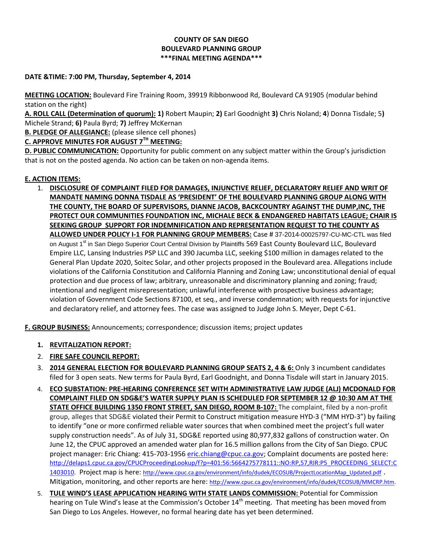# **COUNTY OF SAN DIEGO BOULEVARD PLANNING GROUP \*\*\*FINAL MEETING AGENDA\*\*\***

# **DATE &TIME: 7:00 PM, Thursday, September 4, 2014**

**MEETING LOCATION:** Boulevard Fire Training Room, 39919 Ribbonwood Rd, Boulevard CA 91905 (modular behind station on the right)

**A. ROLL CALL (Determination of quorum): 1)** Robert Maupin; **2)** Earl Goodnight **3)** Chris Noland; **4**) Donna Tisdale; 5**)**  Michele Strand; **6)** Paula Byrd; **7)** Jeffrey McKernan

**B. PLEDGE OF ALLEGIANCE:** (please silence cell phones)

**C. APPROVE MINUTES FOR AUGUST 7TH MEETING:** 

**D. PUBLIC COMMUNICATION:** Opportunity for public comment on any subject matter within the Group's jurisdiction that is not on the posted agenda. No action can be taken on non-agenda items.

# **E. ACTION ITEMS:**

1. **DISCLOSURE OF COMPLAINT FILED FOR DAMAGES, INJUNCTIVE RELIEF, DECLARATORY RELIEF AND WRIT OF MANDATE NAMING DONNA TISDALE AS 'PRESIDENT' OF THE BOULEVARD PLANNING GROUP ALONG WITH THE COUNTY, THE BOARD OF SUPERVISORS, DIANNE JACOB, BACKCOUNTRY AGAINST THE DUMP,INC, THE PROTECT OUR COMMUNITIES FOUNDATION INC, MICHALE BECK & ENDANGERED HABITATS LEAGUE; CHAIR IS SEEKING GROUP SUPPORT FOR INDEMNIFICATION AND REPRESENTATION REQUEST TO THE COUNTY AS ALLOWED UNDER POLICY I-1 FOR PLANNING GROUP MEMBERS:** Case # 37-2014-00025797-CU-MC-CTL was filed on August 1<sup>st</sup> in San Diego Superior Court Central Division by Plaintiffs 569 East County Boulevard LLC, Boulevard Empire LLC, Lansing Industries PSP LLC and 390 Jacumba LLC, seeking \$100 million in damages related to the General Plan Update 2020, Soitec Solar, and other projects proposed in the Boulevard area. Allegations include violations of the California Constitution and California Planning and Zoning Law; unconstitutional denial of equal protection and due process of law; arbitrary, unreasonable and discriminatory planning and zoning; fraud; intentional and negligent misrepresentation; unlawful interference with prospective business advantage; violation of Government Code Sections 87100, et seq., and inverse condemnation; with requests for injunctive and declaratory relief, and attorney fees. The case was assigned to Judge John S. Meyer, Dept C-61.

**F. GROUP BUSINESS:** Announcements; correspondence; discussion items; project updates

- **1. REVITALIZATION REPORT:**
- 2. **FIRE SAFE COUNCIL REPORT:**
- 3. **2014 GENERAL ELECTION FOR BOULEVARD PLANNING GROUP SEATS 2, 4 & 6:** Only 3 incumbent candidates filed for 3 open seats. New terms for Paula Byrd, Earl Goodnight, and Donna Tisdale will start in January 2015.
- 4. **ECO SUBSTATION: PRE-HEARING CONFERENCE SET WITH ADMINISTRATIVE LAW JUDGE (ALJ) MCDONALD FOR COMPLAINT FILED ON SDG&E'S WATER SUPPLY PLAN IS SCHEDULED FOR SEPTEMBER 12 @ 10:30 AM AT THE STATE OFFICE BUILDING 1350 FRONT STREET, SAN DIEGO, ROOM B-107:** The complaint, filed by a non-profit group, alleges that SDG&E violated their Permit to Construct mitigation measure HYD-3 ("MM HYD-3") by failing to identify "one or more confirmed reliable water sources that when combined meet the project's full water supply construction needs". As of July 31, SDG&E reported using 80,977,832 gallons of construction water. On June 12, the CPUC approved an amended water plan for 16.5 million gallons from the City of San Diego. CPUC project manager: Eric Chiang: 415-703-1956 [eric.chiang@cpuc.ca.gov;](mailto:eric.chiang@cpuc.ca.gov) Complaint documents are posted here: [http://delaps1.cpuc.ca.gov/CPUCProceedingLookup/f?p=401:56:5664275778111::NO:RP,57,RIR:P5\\_PROCEEDING\\_SELECT:C](http://delaps1.cpuc.ca.gov/CPUCProceedingLookup/f?p=401:56:5664275778111::NO:RP,57,RIR:P5_PROCEEDING_SELECT:C1403010) [1403010.](http://delaps1.cpuc.ca.gov/CPUCProceedingLookup/f?p=401:56:5664275778111::NO:RP,57,RIR:P5_PROCEEDING_SELECT:C1403010) Project map is here: [http://www.cpuc.ca.gov/environment/info/dudek/ECOSUB/ProjectLocationMap\\_Updated.pdf](http://www.cpuc.ca.gov/environment/info/dudek/ECOSUB/ProjectLocationMap_Updated.pdf) . Mitigation, monitoring, and other reports are here: <http://www.cpuc.ca.gov/environment/info/dudek/ECOSUB/MMCRP.htm>.
- 5. **TULE WIND'S LEASE APPLICATION HEARING WITH STATE LANDS COMMISSION:** Potential for Commission hearing on Tule Wind's lease at the Commission's October 14<sup>th</sup> meeting. That meeting has been moved from San Diego to Los Angeles. However, no formal hearing date has yet been determined.